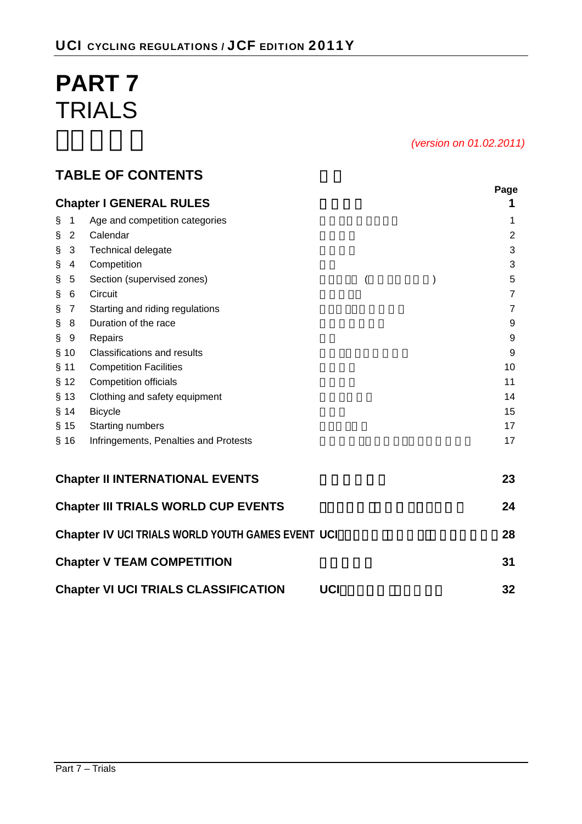# **PART 7**  TRIALS

*(version on 01.02.2011)* 

# **TABLE OF CONTENTS**

|                        | <b>Chapter I GENERAL RULES</b>                    |                | Page<br>1      |
|------------------------|---------------------------------------------------|----------------|----------------|
| ş<br>1                 | Age and competition categories                    |                | 1              |
| ş<br>$\overline{2}$    | Calendar                                          |                | 2              |
| 3<br>Ş                 | Technical delegate                                |                | $\mathbf{3}$   |
| $\S$<br>$\overline{4}$ | Competition                                       |                | 3              |
| Ş<br>5                 | Section (supervised zones)                        | $\overline{(}$ | 5              |
| $\S$<br>6              | Circuit                                           |                | $\overline{7}$ |
| $\S$<br>$\overline{7}$ | Starting and riding regulations                   |                | $\overline{7}$ |
| $\S$<br>8              | Duration of the race                              |                | 9              |
| ş<br>9                 | Repairs                                           |                | 9              |
| § 10                   | <b>Classifications and results</b>                |                | 9              |
| $§$ 11                 | <b>Competition Facilities</b>                     |                | 10             |
| § 12                   | <b>Competition officials</b>                      |                | 11             |
| $§$ 13                 | Clothing and safety equipment                     |                | 14             |
| § 14                   | <b>Bicycle</b>                                    |                | 15             |
| $§$ 15                 | <b>Starting numbers</b>                           |                | 17             |
| $§$ 16                 | Infringements, Penalties and Protests             |                | 17             |
|                        | <b>Chapter II INTERNATIONAL EVENTS</b>            |                | 23             |
|                        | <b>Chapter III TRIALS WORLD CUP EVENTS</b>        |                | 24             |
|                        | Chapter IV UCI TRIALS WORLD YOUTH GAMES EVENT UCI |                | 28             |
|                        | <b>Chapter V TEAM COMPETITION</b>                 |                | 31             |
|                        | <b>Chapter VI UCI TRIALS CLASSIFICATION</b>       | <b>UCI</b>     | 32             |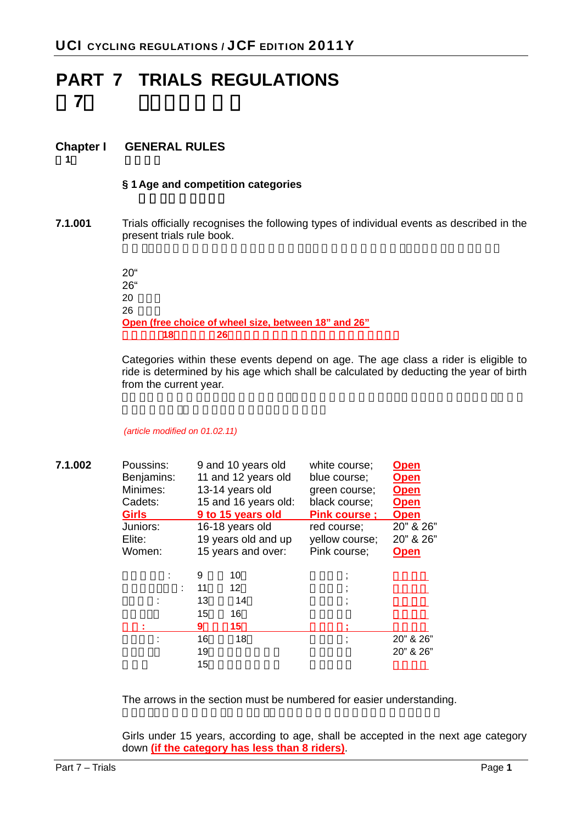# **PART 7 TRIALS REGULATIONS**  第**7**部 トライアル規則

# **Chapter I GENERAL RULES**

第**1**章 一般規則

### **§ 1 Age and competition categories**

**7.1.001** Trials officially recognises the following types of individual events as described in the present trials rule book.

> 20" 26" 20 26 **Open (free choice of wheel size, between 18" and 26"** オープン(**18**インチから**26**インチの間で車輪径を自由に選択できる)

Categories within these events depend on age. The age class a rider is eligible to ride is determined by his age which shall be calculated by deducting the year of birth from the current year.

#### *(article modified on 01.02.11)*

| 7.1.002 | Poussins:<br>Benjamins:<br>Minimes:<br>Cadets:<br><b>Girls</b> |                          | 9 and 10 years old<br>11 and 12 years old<br>13-14 years old<br>15 and 16 years old:<br>9 to 15 years old | white course;<br>blue course;<br>green course;<br>black course;<br><b>Pink course:</b> | <b>Open</b><br><b>Open</b><br><b>Open</b><br><b>Open</b><br><b>Open</b> |
|---------|----------------------------------------------------------------|--------------------------|-----------------------------------------------------------------------------------------------------------|----------------------------------------------------------------------------------------|-------------------------------------------------------------------------|
|         | Juniors:<br>Elite:<br>Women:                                   |                          | 16-18 years old<br>19 years old and up<br>15 years and over:                                              | red course;<br>yellow course;<br>Pink course;                                          | 20" & 26"<br>20" & 26"<br><b>Open</b>                                   |
|         |                                                                | 9<br>11<br>13<br>15<br>9 | 10<br>12<br>14<br>16<br>15                                                                                |                                                                                        |                                                                         |
|         |                                                                | 16<br>19<br>15           | 18                                                                                                        |                                                                                        | 20" & 26"<br>20" & 26"                                                  |

The arrows in the section must be numbered for easier understanding.

Girls under 15 years, according to age, shall be accepted in the next age category down **(if the category has less than 8 riders)**.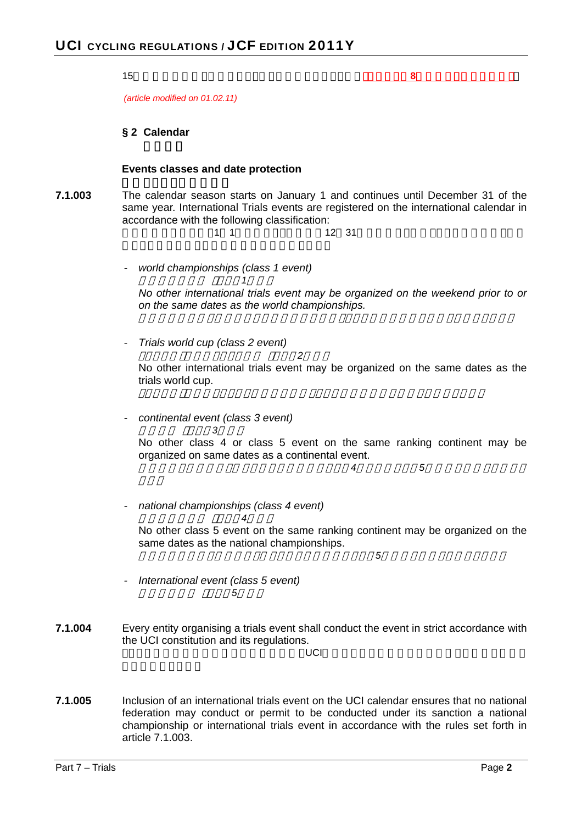|         | 15<br>8                                                                                                                                                                                                                                      |
|---------|----------------------------------------------------------------------------------------------------------------------------------------------------------------------------------------------------------------------------------------------|
|         | (article modified on 01.02.11)                                                                                                                                                                                                               |
|         | § 2 Calendar                                                                                                                                                                                                                                 |
|         | Events classes and date protection                                                                                                                                                                                                           |
| 7.1.003 | The calendar season starts on January 1 and continues until December 31 of the<br>same year. International Trials events are registered on the international calendar in<br>accordance with the following classification:<br>1<br>12 31<br>1 |
|         | world championships (class 1 event)                                                                                                                                                                                                          |
|         | No other international trials event may be organized on the weekend prior to or<br>on the same dates as the world championships.                                                                                                             |
|         | Trials world cup (class 2 event)<br>2                                                                                                                                                                                                        |
|         | No other international trials event may be organized on the same dates as the<br>trials world cup.                                                                                                                                           |
|         | continental event (class 3 event)<br>3<br>No other class 4 or class 5 event on the same ranking continent may be<br>organized on same dates as a continental event.<br>5<br>4                                                                |
|         |                                                                                                                                                                                                                                              |
|         | national championships (class 4 event)<br>4<br>No other class 5 event on the same ranking continent may be organized on the<br>same dates as the national championships.<br>5                                                                |
|         | International event (class 5 event)                                                                                                                                                                                                          |
| 7.1.004 | Every entity organising a trials event shall conduct the event in strict accordance with<br>the UCI constitution and its regulations.<br>UCI                                                                                                 |
| 7.1.005 | Inclusion of an international trials event on the UCI calendar ensures that no national<br>federation may conduct or permit to be conducted under its sanction a national                                                                    |

championship or international trials event in accordance with the rules set forth in

article 7.1.003.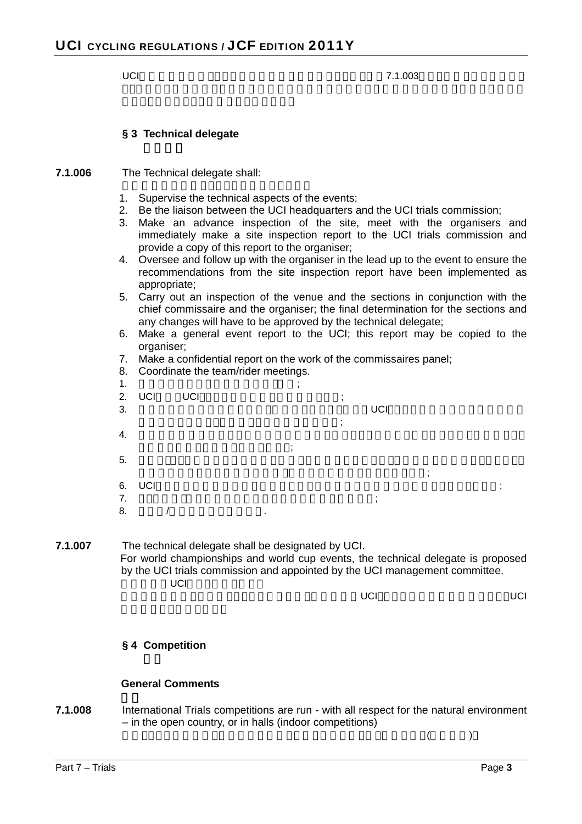UCI $\,$ 

#### **§ 3 Technical delegate**

**7.1.006** The Technical delegate shall:

- 1. Supervise the technical aspects of the events;
- 2. Be the liaison between the UCI headquarters and the UCI trials commission;
- 3. Make an advance inspection of the site, meet with the organisers and immediately make a site inspection report to the UCI trials commission and provide a copy of this report to the organiser;
- 4. Oversee and follow up with the organiser in the lead up to the event to ensure the recommendations from the site inspection report have been implemented as appropriate;
- 5. Carry out an inspection of the venue and the sections in conjunction with the chief commissaire and the organiser; the final determination for the sections and any changes will have to be approved by the technical delegate;
- 6. Make a general event report to the UCI; this report may be copied to the organiser;
- 7. Make a confidential report on the work of the commissaires panel;
- 8. Coordinate the team/rider meetings.

| $\mathbf 1$ .<br>3. | 2. UCI | UCI |                | ٠ | UCI |   |  |
|---------------------|--------|-----|----------------|---|-----|---|--|
| 4.                  |        |     |                |   |     |   |  |
| 5.                  |        |     |                |   |     | ٠ |  |
| 7.<br>8.            | 6. UCI |     | $\blacksquare$ |   |     |   |  |

**7.1.007** The technical delegate shall be designated by UCI. For world championships and world cup events, the technical delegate is proposed by the UCI trials commission and appointed by the UCI management committee. UCI

世界選手権大会とワールドカップにおいては,技術代表はUCIトライアル委員会の提案により,UCI

#### **§ 4 Competition**

#### **General Comments**

**7.1.008** International Trials competitions are run - with all respect for the natural environment – in the open country, or in halls (indoor competitions)

国際トライアル競技は,自然環境に配慮しながら屋外で行うか,屋内で行う(屋内競技)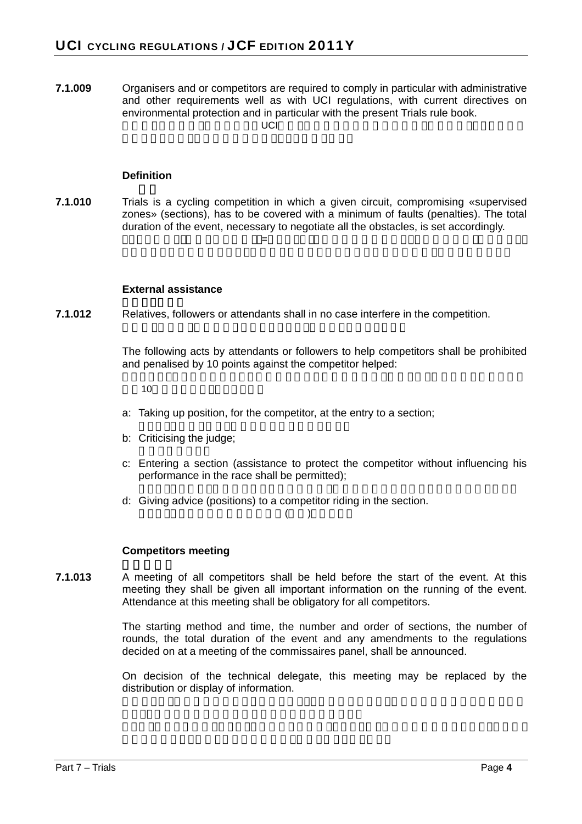**7.1.009** Organisers and or competitors are required to comply in particular with administrative and other requirements well as with UCI regulations, with current directives on environmental protection and in particular with the present Trials rule book.  $\cup$ CI機

#### **Definition**

**7.1.010** Trials is a cycling competition in which a given circuit, compromising «supervised zones» (sections), has to be covered with a minimum of faults (penalties). The total duration of the event, necessary to negotiate all the obstacles, is set accordingly. トライアルは,《監視される区間》(=セクション)を含む一定のサーキットを最少の失敗(ペナルティ)

#### **External assistance**

**7.1.012** Relatives, followers or attendants shall in no case interfere in the competition.

The following acts by attendants or followers to help competitors shall be prohibited and penalised by 10 points against the competitor helped:

 $10$ 

- a: Taking up position, for the competitor, at the entry to a section;
- b: Criticising the judge;
- c: Entering a section (assistance to protect the competitor without influencing his performance in the race shall be permitted);
- d: Giving advice (positions) to a competitor riding in the section.

 $($ 

#### **Competitors meeting**

**7.1.013** A meeting of all competitors shall be held before the start of the event. At this meeting they shall be given all important information on the running of the event. Attendance at this meeting shall be obligatory for all competitors.

> The starting method and time, the number and order of sections, the number of rounds, the total duration of the event and any amendments to the regulations decided on at a meeting of the commissaires panel, shall be announced.

> On decision of the technical delegate, this meeting may be replaced by the distribution or display of information.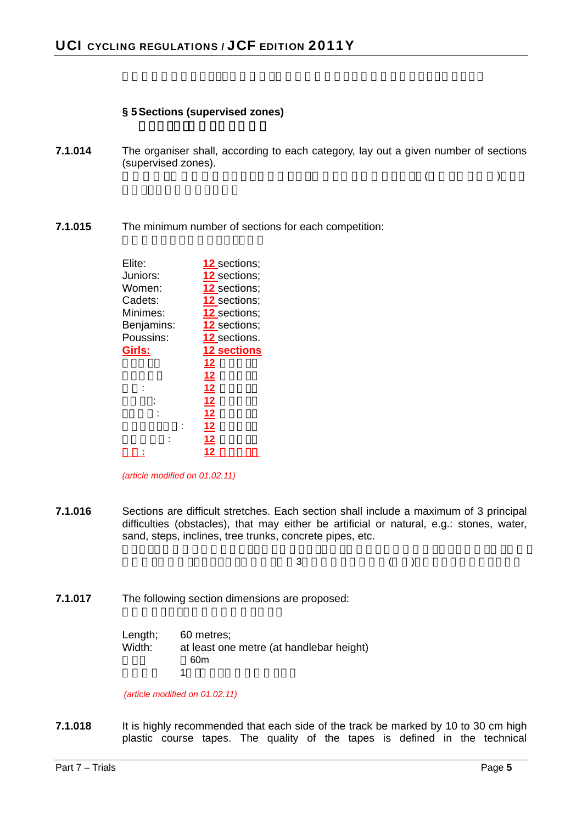#### **§ 5 Sections (supervised zones)**

**7.1.014** The organiser shall, according to each category, lay out a given number of sections (supervised zones).

 $($ 

**7.1.015** The minimum number of sections for each competition:

| Elite:     | 12 sections;        |
|------------|---------------------|
| Juniors:   | 12_sections;        |
| Women:     | <b>12</b> sections; |
| Cadets:    | <b>12</b> sections; |
| Minimes:   | 12 sections;        |
| Benjamins: | <b>12</b> sections; |
| Poussins:  | 12 sections.        |
| Girls:     | <b>12 sections</b>  |
|            | <u>12</u>           |
|            | <u>12</u>           |
|            | 12                  |
|            | 12                  |
|            | <u>12</u>           |
|            | 12                  |
|            | 12                  |
|            | 12                  |
|            |                     |

*(article modified on 01.02.11)* 

**7.1.016** Sections are difficult stretches. Each section shall include a maximum of 3 principal difficulties (obstacles), that may either be artificial or natural, e.g.: stones, water, sand, steps, inclines, tree trunks, concrete pipes, etc.

 $\overline{\mathbf{3}}$ , and the state of  $\mathbf{3}$ 

**7.1.017** The following section dimensions are proposed:

| Length; | 60 metres:                               |
|---------|------------------------------------------|
| Width:  | at least one metre (at handlebar height) |
|         | 60m                                      |
|         |                                          |

*(article modified on 01.02.11)* 

**7.1.018** It is highly recommended that each side of the track be marked by 10 to 30 cm high plastic course tapes. The quality of the tapes is defined in the technical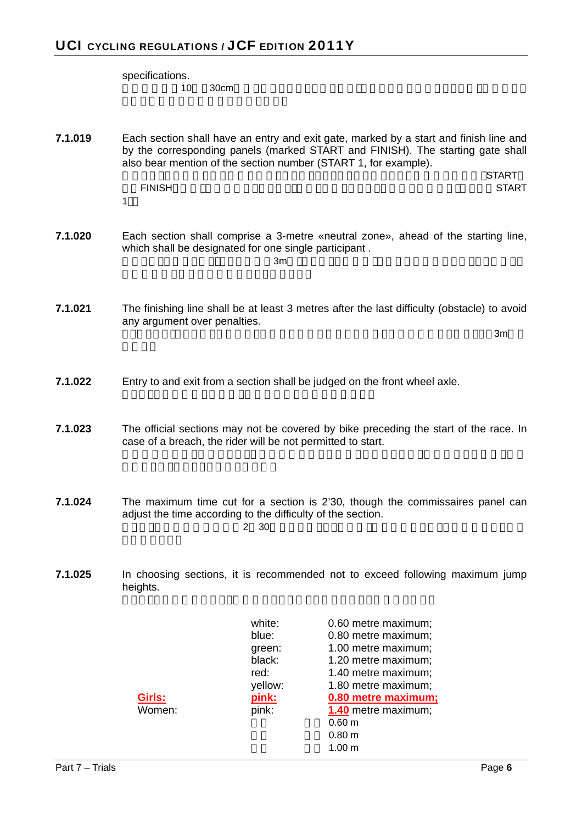specifications.  $10 \quad 30cm$ **7.1.019** Each section shall have an entry and exit gate, marked by a start and finish line and by the corresponding panels (marked START and FINISH). The starting gate shall also bear mention of the section number (START 1, for example). 各セクションには入り口と出口を設け,スタートとフィニッシュのラインと対応するパネル(START ドINISH またります。<br>モバトル START 1). **7.1.020** Each section shall comprise a 3-metre «neutral zone», ahead of the starting line, which shall be designated for one single participant . 各セクションはスタート・ラインの前に3mの《ニュートラル区間》を含まなければならず,ここには1名 **7.1.021** The finishing line shall be at least 3 metres after the last difficulty (obstacle) to avoid any argument over penalties.  $\sim$  2m  $\sim$  3m  $\sim$  3m  $\sim$  3m  $\sim$  3m  $\sim$  3m  $\sim$ **7.1.022** Entry to and exit from a section shall be judged on the front wheel axle. **7.1.023** The official sections may not be covered by bike preceding the start of the race. In case of a breach, the rider will be not permitted to start. **7.1.024** The maximum time cut for a section is 2'30, though the commissaires panel can adjust the time according to the difficulty of the section.  $2\quad30$ **7.1.025** In choosing sections, it is recommended not to exceed following maximum jump heights. white: 0.60 metre maximum; blue: 0.80 metre maximum; green: 1.00 metre maximum; black: 1.20 metre maximum; red: 1.40 metre maximum; yellow: 1.80 metre maximum; **Girls: pink: 0.80 metre maximum;** Women: pink: **1.40** metre maximum;  $0.60 \text{ m}$  $0.80 \text{ m}$ 

 $1.00 m$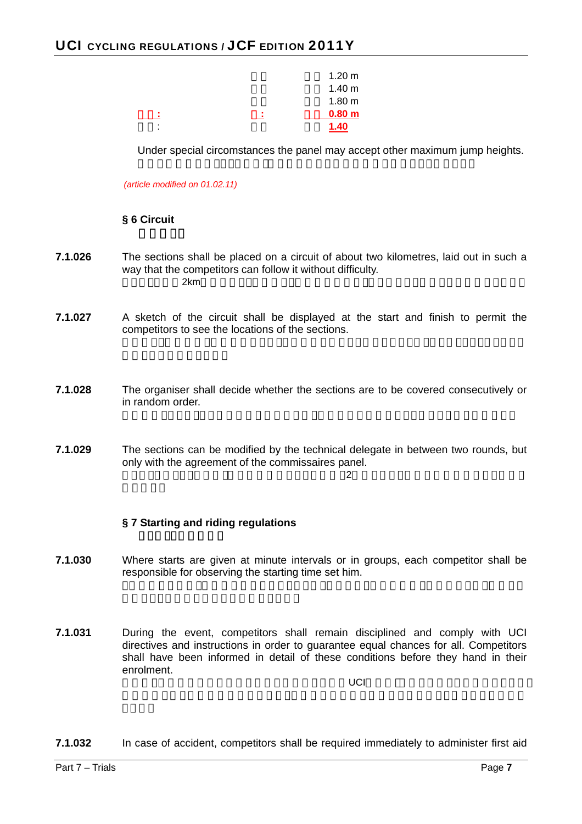

Under special circomstances the panel may accept other maximum jump heights.

*(article modified on 01.02.11)* 

#### **§ 6 Circuit**

- **7.1.026** The sections shall be placed on a circuit of about two kilometres, laid out in such a way that the competitors can follow it without difficulty.  $2 \text{km}$
- **7.1.027** A sketch of the circuit shall be displayed at the start and finish to permit the competitors to see the locations of the sections.
- **7.1.028** The organiser shall decide whether the sections are to be covered consecutively or in random order.
- **7.1.029** The sections can be modified by the technical delegate in between two rounds, but only with the agreement of the commissaires panel.

#### $\overline{2}$

# **§ 7 Starting and riding regulations**

- **7.1.030** Where starts are given at minute intervals or in groups, each competitor shall be responsible for observing the starting time set him.
- **7.1.031** During the event, competitors shall remain disciplined and comply with UCI directives and instructions in order to guarantee equal chances for all. Competitors shall have been informed in detail of these conditions before they hand in their enrolment.

 $\mathsf{UCI}$ 

**7.1.032** In case of accident, competitors shall be required immediately to administer first aid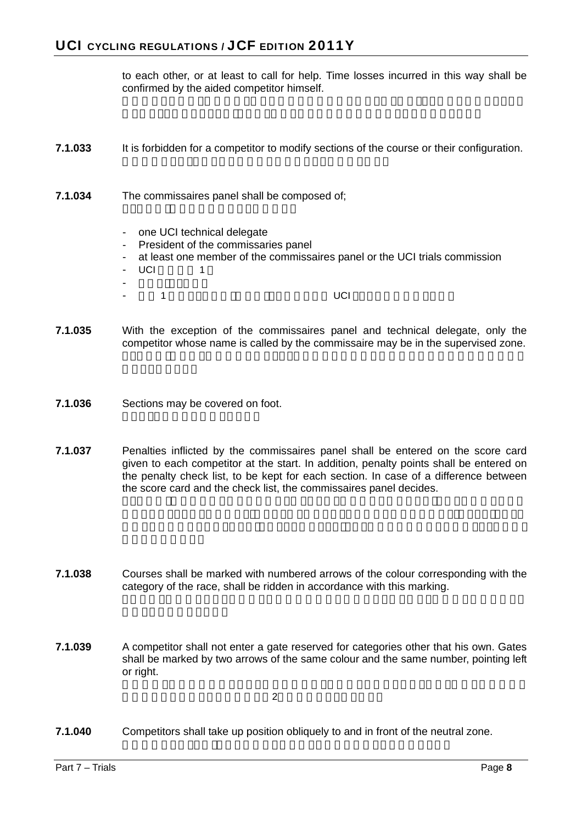to each other, or at least to call for help. Time losses incurred in this way shall be confirmed by the aided competitor himself.

- **7.1.033** It is forbidden for a competitor to modify sections of the course or their configuration.
- **7.1.034** The commissaires panel shall be composed of;
	- one UCI technical delegate
	- President of the commissaries panel
	- at least one member of the commissaires panel or the UCI trials commission
	- UCI 1
	- チーフ・コミセール
	- Andre the Second UCI + Base Second UCI + Base Second UCI + Base Second UCI + Reserved UCI + Reserved UCI + Reserved UCI + Reserved UCI + Reserved UCI + Reserved UCI + Reserved UCI + Reserved UCI + Reserved UCI + Reserved
- **7.1.035** With the exception of the commissaires panel and technical delegate, only the competitor whose name is called by the commissaire may be in the supervised zone.
- **7.1.036** Sections may be covered on foot.
- **7.1.037** Penalties inflicted by the commissaires panel shall be entered on the score card given to each competitor at the start. In addition, penalty points shall be entered on the penalty check list, to be kept for each section. In case of a difference between the score card and the check list, the commissaires panel decides.
- **7.1.038** Courses shall be marked with numbered arrows of the colour corresponding with the category of the race, shall be ridden in accordance with this marking.
- **7.1.039** A competitor shall not enter a gate reserved for categories other that his own. Gates shall be marked by two arrows of the same colour and the same number, pointing left or right.

**7.1.040** Competitors shall take up position obliquely to and in front of the neutral zone.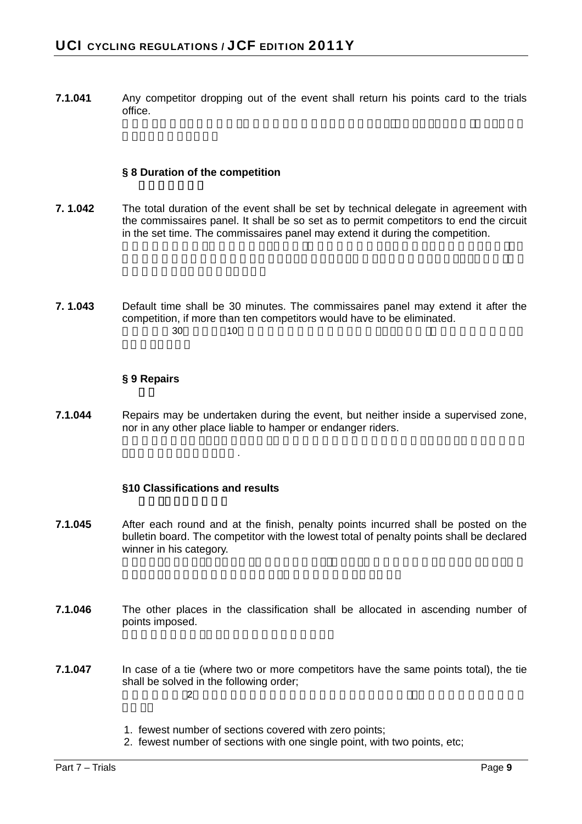**7.1.041** • Any competitor dropping out of the event shall return his points card to the trials office.

#### **§ 8 Duration of the competition**

- **7. 1.042** The total duration of the event shall be set by technical delegate in agreement with the commissaires panel. It shall be so set as to permit competitors to end the circuit in the set time. The commissaires panel may extend it during the competition.
- **7. 1.043** Default time shall be 30 minutes. The commissaires panel may extend it after the competition, if more than ten competitors would have to be eliminated.  $30 \qquad 10$

#### **§ 9 Repairs**

**7.1.044** Repairs may be undertaken during the event, but neither inside a supervised zone, nor in any other place liable to hamper or endanger riders.

#### **§10 Classifications and results**

うなり

- **7.1.045** After each round and at the finish, penalty points incurred shall be posted on the bulletin board. The competitor with the lowest total of penalty points shall be declared winner in his category.
- **7.1.046** The other places in the classification shall be allocated in ascending number of points imposed.
- **7.1.047** In case of a tie (where two or more competitors have the same points total), the tie shall be solved in the following order;  $2$ 
	- 1. fewest number of sections covered with zero points;
	- 2. fewest number of sections with one single point, with two points, etc;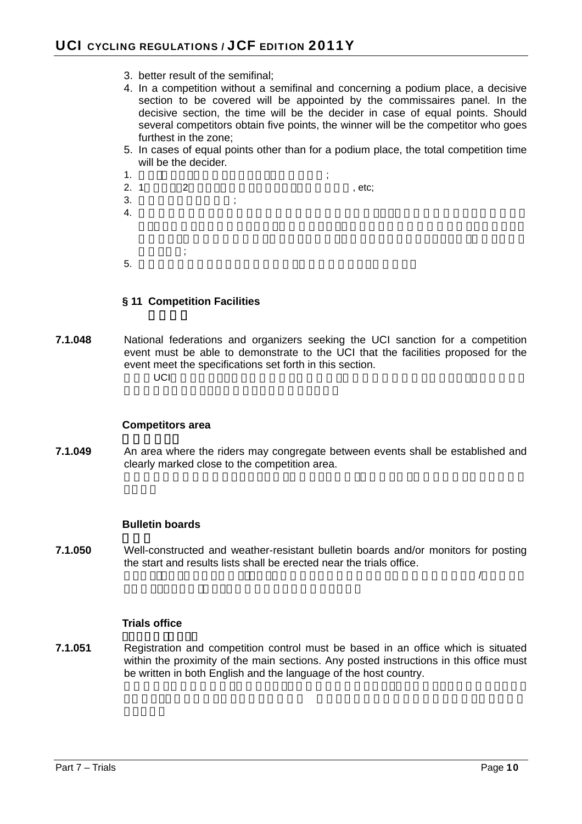- 3. better result of the semifinal;
- 4. In a competition without a semifinal and concerning a podium place, a decisive section to be covered will be appointed by the commissaires panel. In the decisive section, the time will be the decider in case of equal points. Should several competitors obtain five points, the winner will be the competitor who goes furthest in the zone;
- 5. In cases of equal points other than for a podium place, the total competition time will be the decider.
- 1.  $\ddot{\hspace{1cm}}$  $2. 1 2$ , etc;  $3.$  $4.$  $\ddot{i}$ ;  $5.$

#### **§ 11 Competition Facilities**

**7.1.048** National federations and organizers seeking the UCI sanction for a competition event must be able to demonstrate to the UCI that the facilities proposed for the event meet the specifications set forth in this section.  $\cup$ CI $\cup$ 

#### **Competitors area**

**7.1.049** An area where the riders may congregate between events shall be established and clearly marked close to the competition area.

#### **Bulletin boards**

**7.1.050** Well-constructed and weather-resistant bulletin boards and/or monitors for posting the start and results lists shall be erected near the trials office.

 $\overline{B}$ 

#### **Trials office**

**7.1.051** Registration and competition control must be based in an office which is situated within the proximity of the main sections. Any posted instructions in this office must be written in both English and the language of the host country.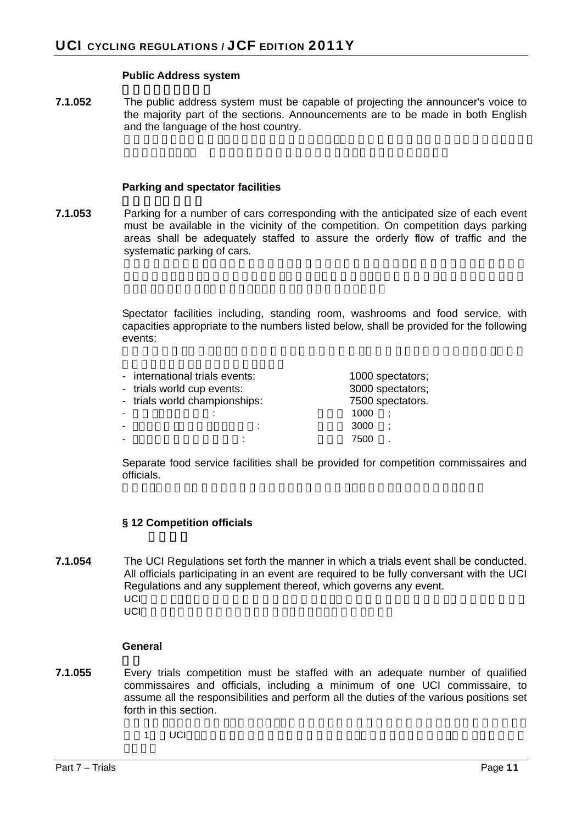#### **Public Address system**

**7.1.052** The public address system must be capable of projecting the announcer's voice to the majority part of the sections. Announcements are to be made in both English and the language of the host country.

#### **Parking and spectator facilities**

**7.1.053** Parking for a number of cars corresponding with the anticipated size of each event must be available in the vicinity of the competition. On competition days parking areas shall be adequately staffed to assure the orderly flow of traffic and the systematic parking of cars.

> Spectator facilities including, standing room, washrooms and food service, with capacities appropriate to the numbers listed below, shall be provided for the following events:

|                          | - international trials events: |      | 1000 spectators; |
|--------------------------|--------------------------------|------|------------------|
|                          | - trials world cup events:     |      | 3000 spectators; |
|                          | - trials world championships:  |      | 7500 spectators. |
| $\overline{\phantom{0}}$ |                                | 1000 |                  |
| ۰                        |                                | 3000 | ÷                |
| $\overline{\phantom{0}}$ |                                | 7500 |                  |

Separate food service facilities shall be provided for competition commissaires and officials.

#### **§ 12 Competition officials**

**7.1.054** The UCI Regulations set forth the manner in which a trials event shall be conducted. All officials participating in an event are required to be fully conversant with the UCI Regulations and any supplement thereof, which governs any event. UCI規則はトライアル競技の実施方法を規定する.競技に参加する全役員は,全競技を運営する UCI またがらまいます。

#### **General**

- **7.1.055** Every trials competition must be staffed with an adequate number of qualified commissaires and officials, including a minimum of one UCI commissaire, to assume all the responsibilities and perform all the duties of the various positions set forth in this section.
	- $1$  UCI $1$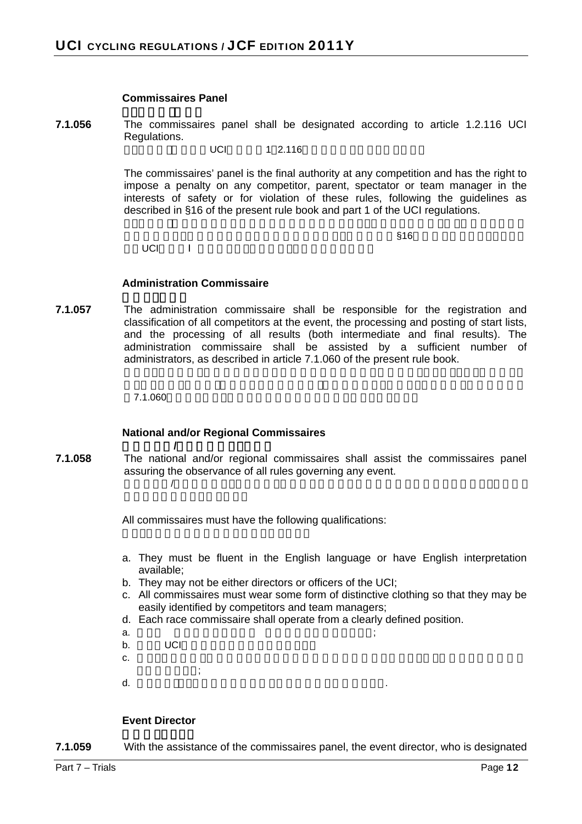#### **Commissaires Panel**

**7.1.056** The commissaires panel shall be designated according to article 1.2.116 UCI Regulations.

 $UCI$  1 2.116

The commissaires' panel is the final authority at any competition and has the right to impose a penalty on any competitor, parent, spectator or team manager in the interests of safety or for violation of these rules, following the guidelines as described in §16 of the present rule book and part 1 of the UCI regulations.

UCI<sub>2</sub>

 $\frac{1}{316}$ 

#### **Administration Commissaire**

**7.1.057** The administration commissaire shall be responsible for the registration and classification of all competitors at the event, the processing and posting of start lists, and the processing of all results (both intermediate and final results). The administration commissaire shall be assisted by a sufficient number of administrators, as described in article 7.1.060 of the present rule book.

 $7.1.060$ 

#### **National and/or Regional Commissaires**

国内および**/**または地域コミセール **7.1.058** The national and/or regional commissaires shall assist the commissaires panel assuring the observance of all rules governing any event.  $\sqrt{2}$ 

All commissaires must have the following qualifications:

- a. They must be fluent in the English language or have English interpretation available;
- b. They may not be either directors or officers of the UCI;
- c. All commissaires must wear some form of distinctive clothing so that they may be easily identified by competitors and team managers;
- d. Each race commissaire shall operate from a clearly defined position.
- a.  $\qquad \qquad \qquad \qquad \qquad ;$ b. UCI
- $c.$
- $\vdots$
- d. Automobile. Automobile. Automobile. Automobile. Automobile. Automobile. Automobile. Automobile. Automobile.

#### **Event Director**

**7.1.059** With the assistance of the commissaires panel, the event director, who is designated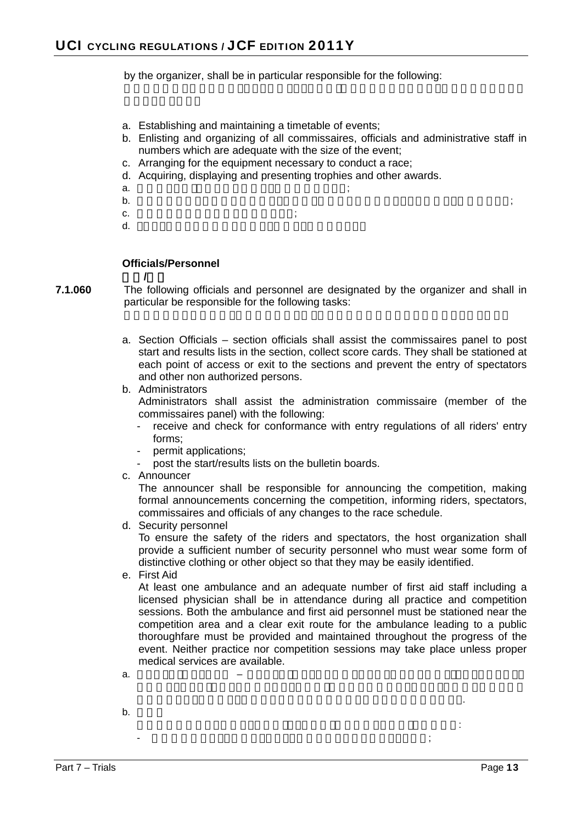by the organizer, shall be in particular responsible for the following:

- a. Establishing and maintaining a timetable of events;
- b. Enlisting and organizing of all commissaires, officials and administrative staff in numbers which are adequate with the size of the event;
- c. Arranging for the equipment necessary to conduct a race;
- d. Acquiring, displaying and presenting trophies and other awards.
- a.  $\qquad \qquad \qquad \qquad \qquad \qquad \qquad \qquad \frac{1}{2}$
- $\mathbf b$ .  $\mathbf b$
- c.  $\ddot{\textbf{c}}$ ;
- $d.$

#### **Officials/Personnel**

- 役員**/**人員
- **7.1.060** The following officials and personnel are designated by the organizer and shall in particular be responsible for the following tasks:
	- a. Section Officials section officials shall assist the commissaires panel to post start and results lists in the section, collect score cards. They shall be stationed at each point of access or exit to the sections and prevent the entry of spectators and other non authorized persons.
	- b. Administrators Administrators shall assist the administration commissaire (member of the commissaires panel) with the following:
		- receive and check for conformance with entry regulations of all riders' entry forms;
		- permit applications;
		- post the start/results lists on the bulletin boards.
	- c. Announcer

The announcer shall be responsible for announcing the competition, making formal announcements concerning the competition, informing riders, spectators, commissaires and officials of any changes to the race schedule.

d. Security personnel

To ensure the safety of the riders and spectators, the host organization shall provide a sufficient number of security personnel who must wear some form of distinctive clothing or other object so that they may be easily identified.

e. First Aid

At least one ambulance and an adequate number of first aid staff including a licensed physician shall be in attendance during all practice and competition sessions. Both the ambulance and first aid personnel must be stationed near the competition area and a clear exit route for the ambulance leading to a public thoroughfare must be provided and maintained throughout the progress of the event. Neither practice nor competition sessions may take place unless proper medical services are available.

口の各ポイントに位置し,観客あるいはその他の認められない人の侵入を防ぐ..

管理員は下記により管理コミセール(コミセール・パネルのメンバー)を補佐する:

 $-$ 

- a. e.e. e.e. the e.e. that the e.e. the e.e. the e.e. the e.e. the e.e. the e.e. the e.e. the e.e. the e.e. that  $-$
- $\mathbf b$ .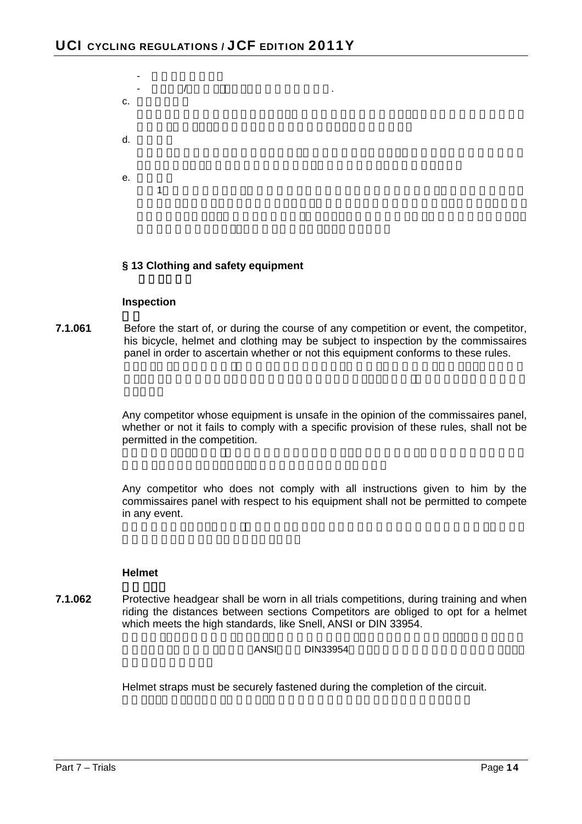

#### **§ 13 Clothing and safety equipment**

#### **Inspection**

**7.1.061** Before the start of, or during the course of any competition or event, the competitor, his bicycle, helmet and clothing may be subject to inspection by the commissaires panel in order to ascertain whether or not this equipment conforms to these rules.

> Any competitor whose equipment is unsafe in the opinion of the commissaires panel, whether or not it fails to comply with a specific provision of these rules, shall not be permitted in the competition.

> Any competitor who does not comply with all instructions given to him by the commissaires panel with respect to his equipment shall not be permitted to compete in any event.

#### **Helmet**

**7.1.062** Protective headgear shall be worn in all trials competitions, during training and when riding the distances between sections Competitors are obliged to opt for a helmet which meets the high standards, like Snell, ANSI or DIN 33954.

 $ANSI$  ...  $DIN33954$ 

Helmet straps must be securely fastened during the completion of the circuit.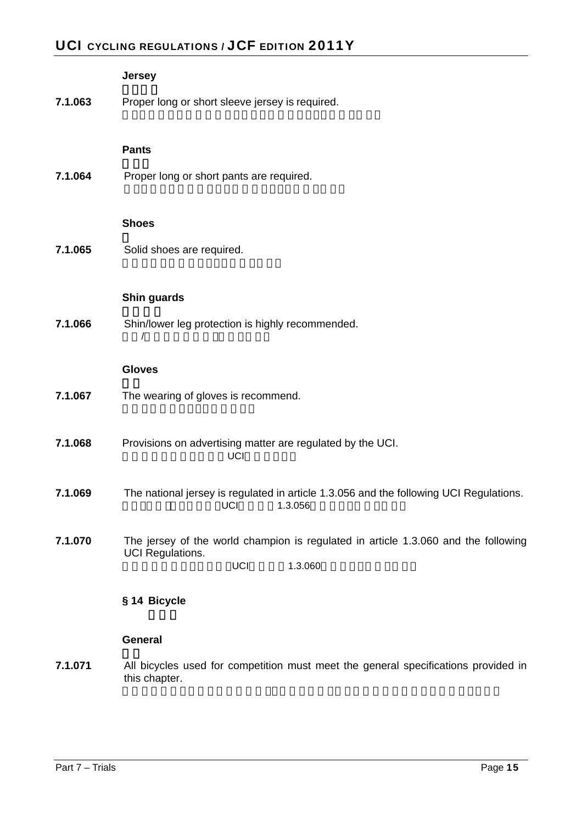# UCI CYCLING REGULATIONS / JCF EDITION 2011Y

|         | <b>Jersey</b>                                                                                                            |
|---------|--------------------------------------------------------------------------------------------------------------------------|
| 7.1.063 | Proper long or short sleeve jersey is required.                                                                          |
|         | <b>Pants</b>                                                                                                             |
| 7.1.064 | Proper long or short pants are required.                                                                                 |
|         | <b>Shoes</b>                                                                                                             |
| 7.1.065 | Solid shoes are required.                                                                                                |
|         |                                                                                                                          |
|         | Shin guards                                                                                                              |
| 7.1.066 | Shin/lower leg protection is highly recommended.                                                                         |
|         | <b>Gloves</b>                                                                                                            |
| 7.1.067 | The wearing of gloves is recommend.                                                                                      |
| 7.1.068 | Provisions on advertising matter are regulated by the UCI.<br>UCI                                                        |
| 7.1.069 | The national jersey is regulated in article 1.3.056 and the following UCI Regulations.<br>UCI<br>1.3.056                 |
| 7.1.070 | The jersey of the world champion is regulated in article 1.3.060 and the following<br>UCI Regulations.<br>UCI<br>1.3.060 |
|         | § 14 Bicycle                                                                                                             |
|         | General                                                                                                                  |

**7.1.071** All bicycles used for competition must meet the general specifications provided in this chapter.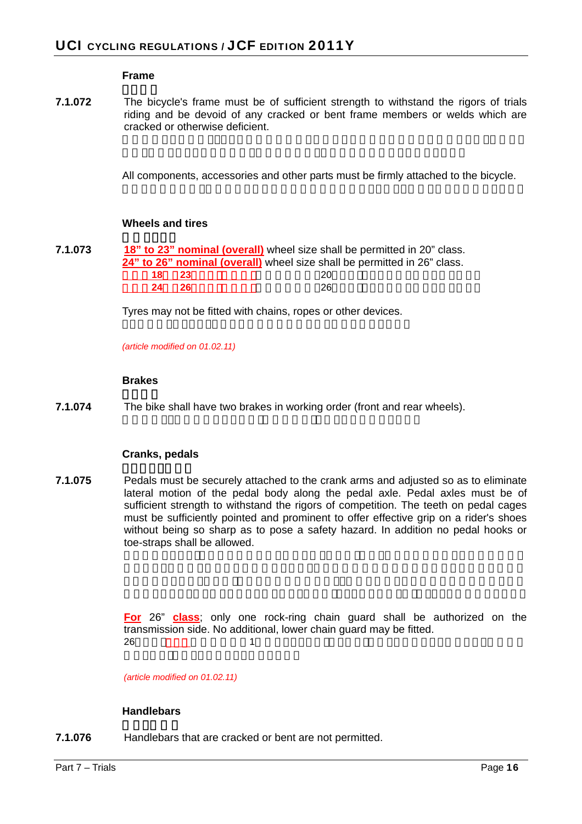#### **Frame**

**7.1.072** The bicycle's frame must be of sufficient strength to withstand the rigors of trials riding and be devoid of any cracked or bent frame members or welds which are cracked or otherwise deficient.

All components, accessories and other parts must be firmly attached to the bicycle.

#### **Wheels and tires**

| 7.1.073 |            | 18" to 23" nominal (overall) wheel size shall be permitted in 20" class. |  |
|---------|------------|--------------------------------------------------------------------------|--|
|         |            | 24" to 26" nominal (overall) wheel size shall be permitted in 26" class. |  |
|         | -23<br>18. | 20                                                                       |  |
|         | -26<br>24. | 26                                                                       |  |

Tyres may not be fitted with chains, ropes or other devices.

*(article modified on 01.02.11)* 

#### **Brakes**

**7.1.074** The bike shall have two brakes in working order (front and rear wheels).

#### **Cranks, pedals**

**7.1.075** Pedals must be securely attached to the crank arms and adjusted so as to eliminate lateral motion of the pedal body along the pedal axle. Pedal axles must be of sufficient strength to withstand the rigors of competition. The teeth on pedal cages must be sufficiently pointed and prominent to offer effective grip on a rider's shoes without being so sharp as to pose a safety hazard. In addition no pedal hooks or toe-straps shall be allowed.

> **For** 26" **class**; only one rock-ring chain guard shall be authorized on the transmission side. No additional, lower chain guard may be fitted. 26 (<u>)</u> 1

*(article modified on 01.02.11)* 

#### **Handlebars**

**7.1.076** Handlebars that are cracked or bent are not permitted.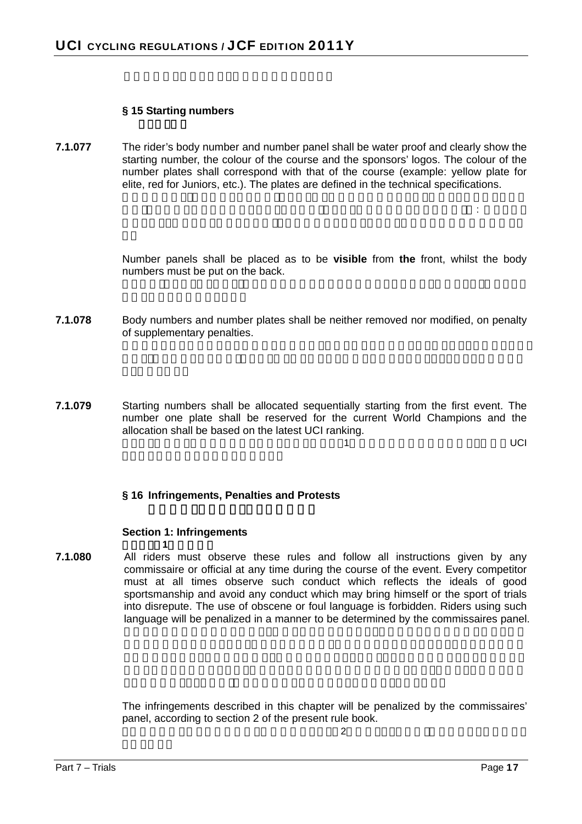#### **§ 15 Starting numbers**

**7.1.077** The rider's body number and number panel shall be water proof and clearly show the starting number, the colour of the course and the sponsors' logos. The colour of the number plates shall correspond with that of the course (example: yellow plate for elite, red for Juniors, etc.). The plates are defined in the technical specifications.

> Number panels shall be placed as to be **visible** from **the** front, whilst the body numbers must be put on the back.

> サー・ロゴが示されなければならない.ナンバー・プレートの色は当該コースに一致(例: 黄プレート

- **7.1.078** Body numbers and number plates shall be neither removed nor modified, on penalty of supplementary penalties.
- **7.1.079** Starting numbers shall be allocated sequentially starting from the first event. The number one plate shall be reserved for the current World Champions and the allocation shall be based on the latest UCI ranking.

 $\overline{a}$ , and the state of the state  $\overline{a}$  and the state of the state of the state of the state of the state of the state of the state of the state of the state of the state of the state of the state of the state of th

#### **§ 16 Infringements, Penalties and Protests**

#### **Section 1: Infringements**

セクション**1**: 違反行為

**7.1.080** All riders must observe these rules and follow all instructions given by any commissaire or official at any time during the course of the event. Every competitor must at all times observe such conduct which reflects the ideals of good sportsmanship and avoid any conduct which may bring himself or the sport of trials into disrepute. The use of obscene or foul language is forbidden. Riders using such language will be penalized in a manner to be determined by the commissaires panel.

> The infringements described in this chapter will be penalized by the commissaires' panel, according to section 2 of the present rule book.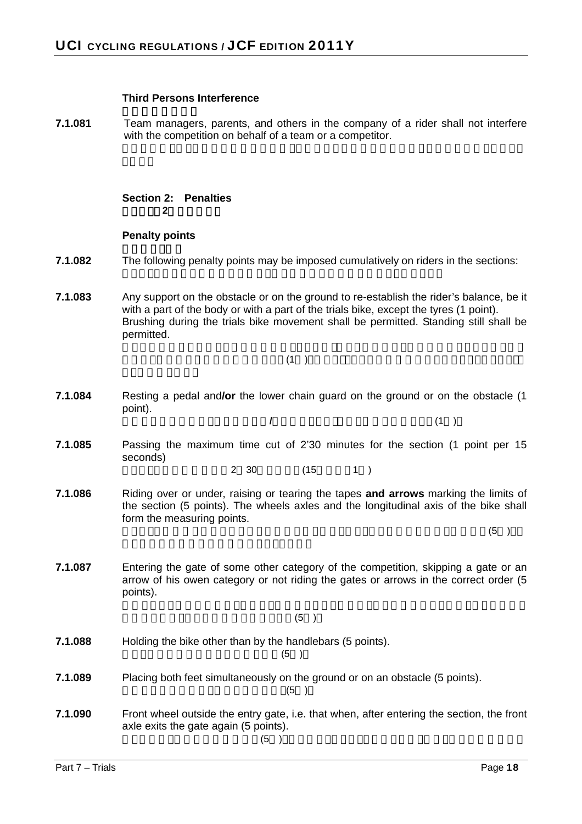#### **Third Persons Interference**

**7.1.081** Team managers, parents, and others in the company of a rider shall not interfere with the competition on behalf of a team or a competitor.

# **Section 2: Penalties**  セクション**2**: ペナルティ

#### **Penalty points**

- **7.1.082** The following penalty points may be imposed cumulatively on riders in the sections:
- **7.1.083** Any support on the obstacle or on the ground to re-establish the rider's balance, be it with a part of the body or with a part of the trials bike, except the tyres (1 point). Brushing during the trials bike movement shall be permitted. Standing still shall be permitted.

 $(1)$ .

- **7.1.084** Resting a pedal and**/or** the lower chain guard on the ground or on the obstacle (1 point). 地面または障害物に,ペダルおよび**/**またはチェイン・ガード下部で支点をとる(1 )
- **7.1.085** Passing the maximum time cut of 2'30 minutes for the section (1 point per 15 seconds)

 $2 \t30$  (15 1 )

**7.1.086** Riding over or under, raising or tearing the tapes **and arrows** marking the limits of the section (5 points). The wheels axles and the longitudinal axis of the bike shall form the measuring points.

 $(5)$ 

**7.1.087** Entering the gate of some other category of the competition, skipping a gate or an arrow of his owen category or not riding the gates or arrows in the correct order (5 points).

 $(5)$ 

**7.1.088** Holding the bike other than by the handlebars (5 points).

 $(5)$ 

**7.1.089** Placing both feet simultaneously on the ground or on an obstacle (5 points).

 $(5)$ 

**7.1.090** Front wheel outside the entry gate, i.e. that when, after entering the section, the front axle exits the gate again (5 points).  $(5)$ .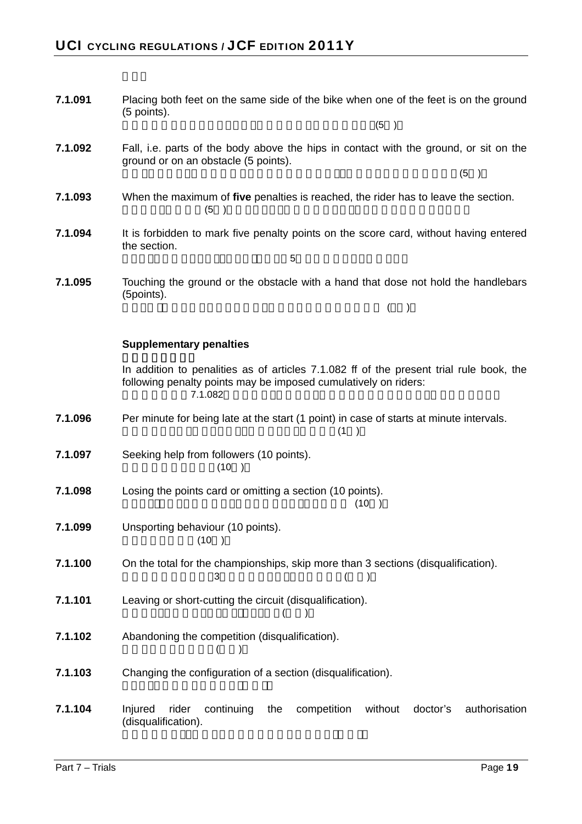| 7.1.091 | Placing both feet on the same side of the bike when one of the feet is on the ground<br>(5 points).                                                                   |
|---------|-----------------------------------------------------------------------------------------------------------------------------------------------------------------------|
|         | (5)                                                                                                                                                                   |
| 7.1.092 | Fall, i.e. parts of the body above the hips in contact with the ground, or sit on the<br>ground or on an obstacle (5 points).                                         |
|         | (5)                                                                                                                                                                   |
| 7.1.093 | When the maximum of five penalties is reached, the rider has to leave the section.<br>(5)<br>$\rightarrow$                                                            |
| 7.1.094 | It is forbidden to mark five penalty points on the score card, without having entered<br>the section.                                                                 |
|         | 5                                                                                                                                                                     |
| 7.1.095 | Touching the ground or the obstacle with a hand that dose not hold the handlebars<br>(5points).                                                                       |
|         | $($ )                                                                                                                                                                 |
|         | <b>Supplementary penalties</b>                                                                                                                                        |
|         |                                                                                                                                                                       |
|         | In addition to penalities as of articles 7.1.082 ff of the present trial rule book, the<br>following penalty points may be imposed cumulatively on riders:<br>7.1.082 |
| 7.1.096 | Per minute for being late at the start (1 point) in case of starts at minute intervals.<br>(1)<br>$\rightarrow$                                                       |
| 7.1.097 | Seeking help from followers (10 points).<br>(10)                                                                                                                      |
| 7.1.098 | Losing the points card or omitting a section (10 points).<br>(10)                                                                                                     |
| 7.1.099 | Unsporting behaviour (10 points).<br>(10)                                                                                                                             |
| 7.1.100 | On the total for the championships, skip more than 3 sections (disqualification).<br>3                                                                                |
| 7.1.101 | Leaving or short-cutting the circuit (disqualification).                                                                                                              |
| 7.1.102 | Abandoning the competition (disqualification).                                                                                                                        |
| 7.1.103 | Changing the configuration of a section (disqualification).                                                                                                           |
| 7.1.104 | continuing<br>competition<br>authorisation<br>Injured<br>rider<br>without<br>doctor's<br>the<br>(disqualification).                                                   |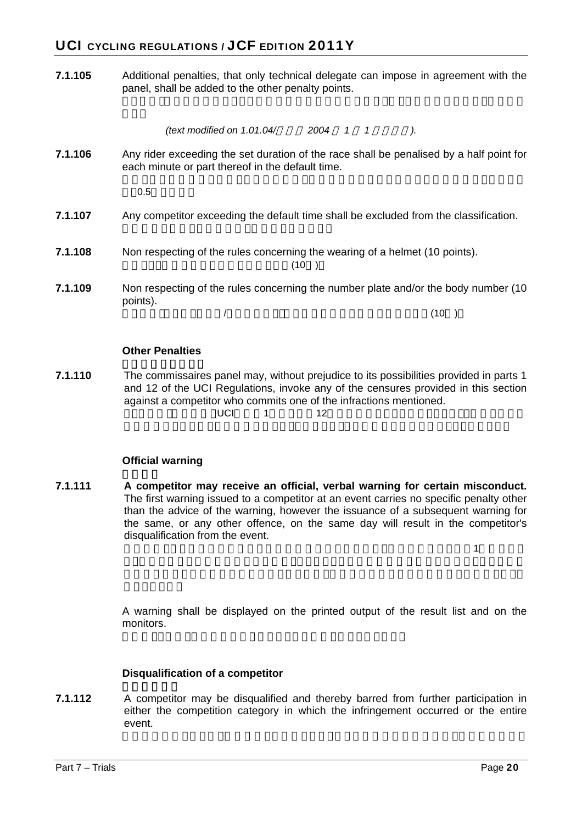# UCI CYCLING REGULATIONS / JCF EDITION 2011Y

**7.1.105** Additional penalties, that only technical delegate can impose in agreement with the panel, shall be added to the other penalty points.

*(text modified on 1.01.04/* 2004 1 1  $\blacksquare$ ).

**7.1.106** Any rider exceeding the set duration of the race shall be penalised by a half point for each minute or part thereof in the default time.

 $0.5$ 

#### **7.1.107** Any competitor exceeding the default time shall be excluded from the classification.

- **7.1.108** Non respecting of the rules concerning the wearing of a helmet (10 points).  $(10)$
- **7.1.109** Non respecting of the rules concerning the number plate and/or the body number (10 points).

 $\sqrt{2}$ 

#### **Other Penalties**

**7.1.110** The commissaires panel may, without prejudice to its possibilities provided in parts 1 and 12 of the UCI Regulations, invoke any of the censures provided in this section against a competitor who commits one of the infractions mentioned.  $\text{UCI}$  and  $\text{12}$  and  $\text{12}$ 

#### **Official warning**

**7.1.111 A competitor may receive an official, verbal warning for certain misconduct.**  The first warning issued to a competitor at an event carries no specific penalty other than the advice of the warning, however the issuance of a subsequent warning for the same, or any other offence, on the same day will result in the competitor's disqualification from the event.

 $\mathbf{1}$ 

A warning shall be displayed on the printed output of the result list and on the monitors.

#### **Disqualification of a competitor**

**7.1.112** A competitor may be disqualified and thereby barred from further participation in either the competition category in which the infringement occurred or the entire event.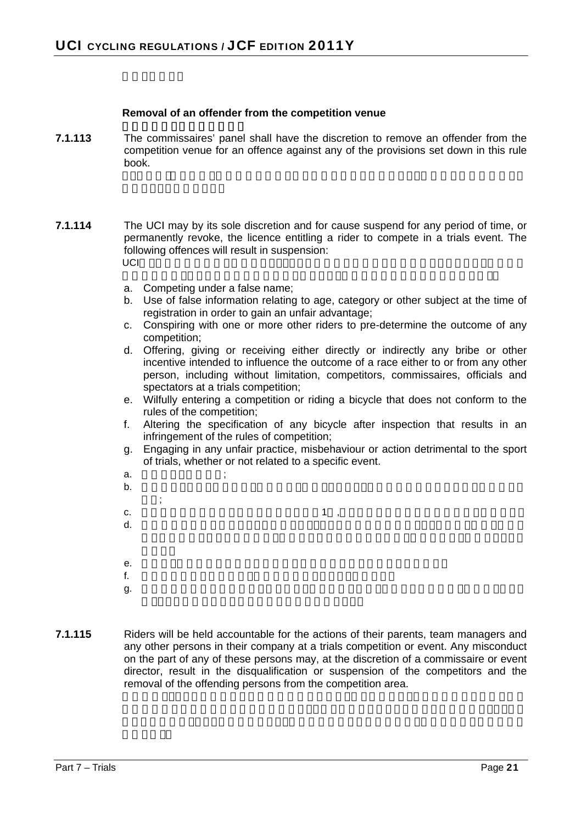#### **Removal of an offender from the competition venue**

- **7.1.113** The commissaires' panel shall have the discretion to remove an offender from the competition venue for an offence against any of the provisions set down in this rule book.
- **7.1.114** The UCI may by its sole discretion and for cause suspend for any period of time, or permanently revoke, the licence entitling a rider to compete in a trials event. The following offences will result in suspension:  $\cup$ CI $\cup$ 
	- a. Competing under a false name;
	- b. Use of false information relating to age, category or other subject at the time of registration in order to gain an unfair advantage;
	- c. Conspiring with one or more other riders to pre-determine the outcome of any competition;
	- d. Offering, giving or receiving either directly or indirectly any bribe or other incentive intended to influence the outcome of a race either to or from any other person, including without limitation, competitors, commissaires, officials and spectators at a trials competition;
	- e. Wilfully entering a competition or riding a bicycle that does not conform to the rules of the competition;
	- f. Altering the specification of any bicycle after inspection that results in an infringement of the rules of competition;
	- g. Engaging in any unfair practice, misbehaviour or action detrimental to the sport of trials, whether or not related to a specific event.
	- a.  $\qquad \qquad ;$  $\mathbf b$ .  $\mathbf b$  $\ddot{\phantom{1}}$ c.  $1$  ,  $d.$ e.  $\blacksquare$  $f$ . Extending the distribution of the distribution  $\mathcal{L}$  $g.$
- **7.1.115** Riders will be held accountable for the actions of their parents, team managers and any other persons in their company at a trials competition or event. Any misconduct on the part of any of these persons may, at the discretion of a commissaire or event director, result in the disqualification or suspension of the competitors and the removal of the offending persons from the competition area.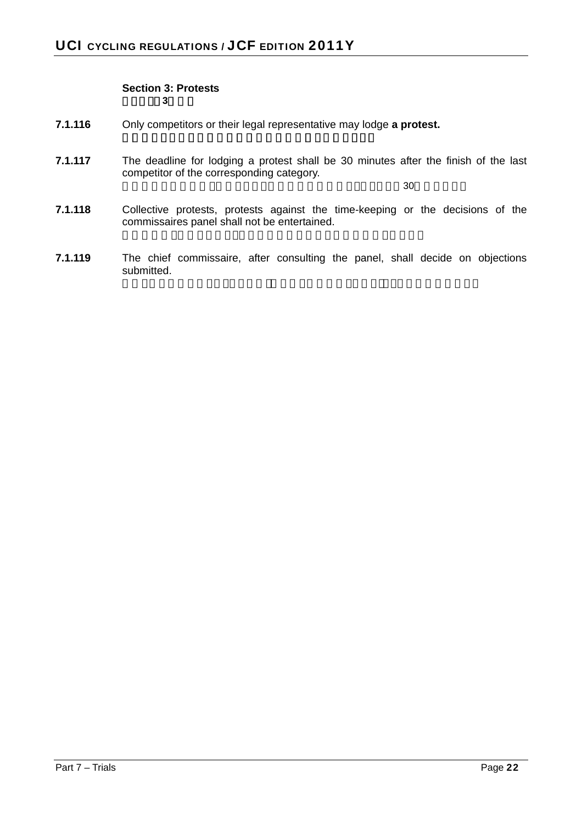#### **Section 3: Protests**  セクション**3**: 異議

- **7.1.116** Only competitors or their legal representative may lodge **a protest.**
- **7.1.117** The deadline for lodging a protest shall be 30 minutes after the finish of the last competitor of the corresponding category.

 $30$ 

- **7.1.118** Collective protests, protests against the time-keeping or the decisions of the commissaires panel shall not be entertained.
- **7.1.119** The chief commissaire, after consulting the panel, shall decide on objections submitted.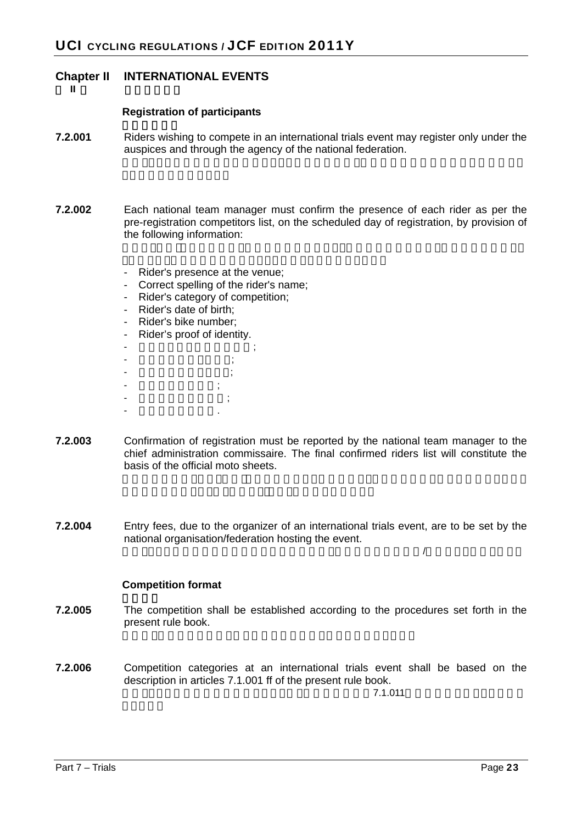#### **Chapter II INTERNATIONAL EVENTS**

第 **II** 章 国際競技大会

#### **Registration of participants**

- **7.2.001** •• Riders wishing to compete in an international trials event may register only under the auspices and through the agency of the national federation.
- **7.2.002** Each national team manager must confirm the presence of each rider as per the pre-registration competitors list, on the scheduled day of registration, by provision of the following information:
	- Rider's presence at the venue;
	- Correct spelling of the rider's name;
	- Rider's category of competition;
	- Rider's date of birth;
	- Rider's bike number;
	- Rider's proof of identity.
	- $\frac{1}{2}$ - 競技者名の正しい綴り; - 競技者の競技カテゴリ; - 競技者の生年月日; - 競技者の自転車番号; - 競技者の身分証明.
- **7.2.003** Confirmation of registration must be reported by the national team manager to the chief administration commissaire. The final confirmed riders list will constitute the basis of the official moto sheets.
- **7.2.004** Entry fees, due to the organizer of an international trials event, are to be set by the national organisation/federation hosting the event.

 $\mathcal{A}$ 

#### **Competition format**

- **7.2.005** The competition shall be established according to the procedures set forth in the present rule book.
- **7.2.006** Competition categories at an international trials event shall be based on the description in articles 7.1.001 ff of the present rule book.

 $7.1.011$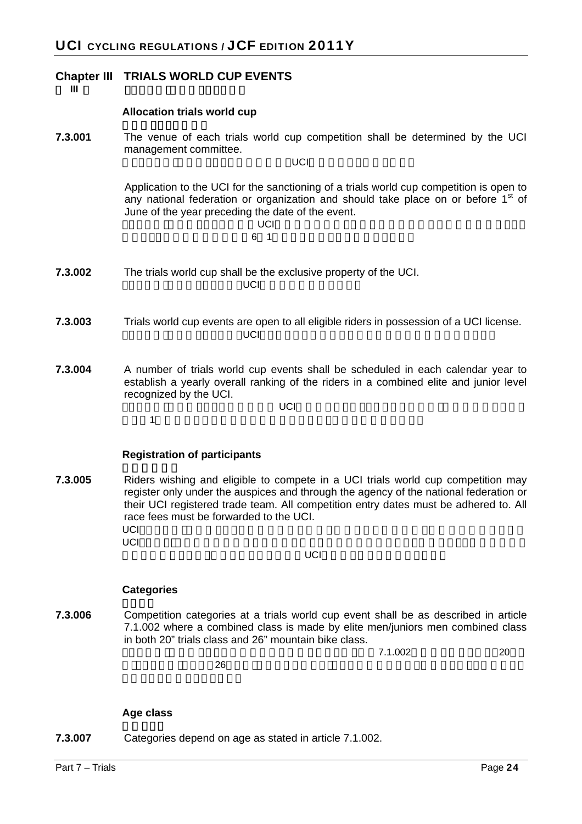#### **Chapter III TRIALS WORLD CUP EVENTS**

#### 第 **III** 章 トライアル・ワールドカップ大会

#### **Allocation trials world cup**

**7.3.001** The venue of each trials world cup competition shall be determined by the UCI management committee.  $\overline{\mathsf{UCL}}$ 

> Application to the UCI for the sanctioning of a trials world cup competition is open to any national federation or organization and should take place on or before  $1<sup>st</sup>$  of June of the year preceding the date of the event. トライアル・ワールドカップ UCI

# $6$  1

- **7.3.002** The trials world cup shall be the exclusive property of the UCI. トライアル・ワールドカップは,UCIの独占的所有物である.
- **7.3.003** Trials world cup events are open to all eligible riders in possession of a UCI license.  $\mathsf{UCI}$ , UCI $\mathsf{UCI}$
- **7.3.004** A number of trials world cup events shall be scheduled in each calendar year to establish a yearly overall ranking of the riders in a combined elite and junior level recognized by the UCI.

 $\mathsf{UCI}$ 

 $\mathbf 1$ 

#### **Registration of participants**

**7.3.005** Riders wishing and eligible to compete in a UCI trials world cup competition may register only under the auspices and through the agency of the national federation or their UCI registered trade team. All competition entry dates must be adhered to. All race fees must be forwarded to the UCI. UCIトライアル・ワールドカップ競技に参加を希望し適格である競技者は,国内競技連盟あるいは  $\cup$ CI $\cup$ 

 $UCI$ 

#### **Categories**

**7.3.006** Competition categories at a trials world cup event shall be as described in article 7.1.002 where a combined class is made by elite men/juniors men combined class in both 20" trials class and 26" mountain bike class.

> $7.1.002$  20  $26$

#### **Age class**

**7.3.007** Categories depend on age as stated in article 7.1.002.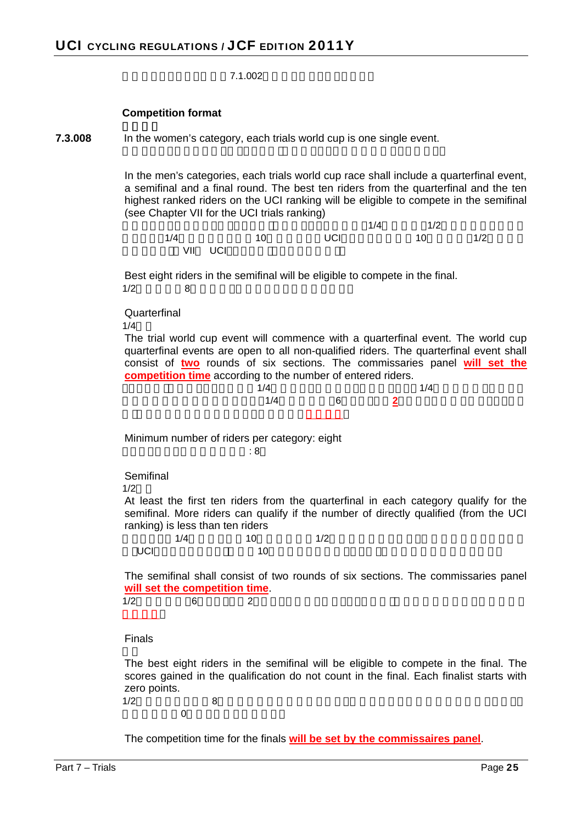7.1.002

#### **Competition format**

```
7.3.008 In the women's category, each trials world cup is one single event.
```
In the men's categories, each trials world cup race shall include a quarterfinal event, a semifinal and a final round. The best ten riders from the quarterfinal and the ten highest ranked riders on the UCI ranking will be eligible to compete in the semifinal (see Chapter VII for the UCI trials ranking)

|     |         |    |     | 1/4 | 1/2 |     |
|-----|---------|----|-----|-----|-----|-----|
| 1/4 |         | 10 | UCI |     | 10  | 1/2 |
|     | VII UCI |    |     |     |     |     |

Best eight riders in the semifinal will be eligible to compete in the final.  $1/2$  8

**Quarterfinal** 

 $1/4$ 

The trial world cup event will commence with a quarterfinal event. The world cup quarterfinal events are open to all non-qualified riders. The quarterfinal event shall consist of **two** rounds of six sections. The commissaries panel **will set the competition time** according to the number of entered riders.



Minimum number of riders per category: eight  $\mathcal{R}$  and  $\mathcal{R}$  and  $\mathcal{R}$  and  $\mathcal{R}$  and  $\mathcal{R}$  and  $\mathcal{R}$  and  $\mathcal{R}$  and  $\mathcal{R}$ 

#### Semifinal

 $1/2$ 

At least the first ten riders from the quarterfinal in each category qualify for the semifinal. More riders can qualify if the number of directly qualified (from the UCI ranking) is less than ten riders

|            | 1/4 | $\overline{10}$ | 1/2 |  |
|------------|-----|-----------------|-----|--|
| <b>UCI</b> |     | 10              |     |  |

The semifinal shall consist of two rounds of six sections. The commissaries panel **will set the competition time**.

 $1/2$  6 2

Finals

The best eight riders in the semifinal will be eligible to compete in the final. The scores gained in the qualification do not count in the final. Each finalist starts with zero points.  $1/2$   $8$ 

 $\overline{0}$ 

The competition time for the finals **will be set by the commissaires panel**.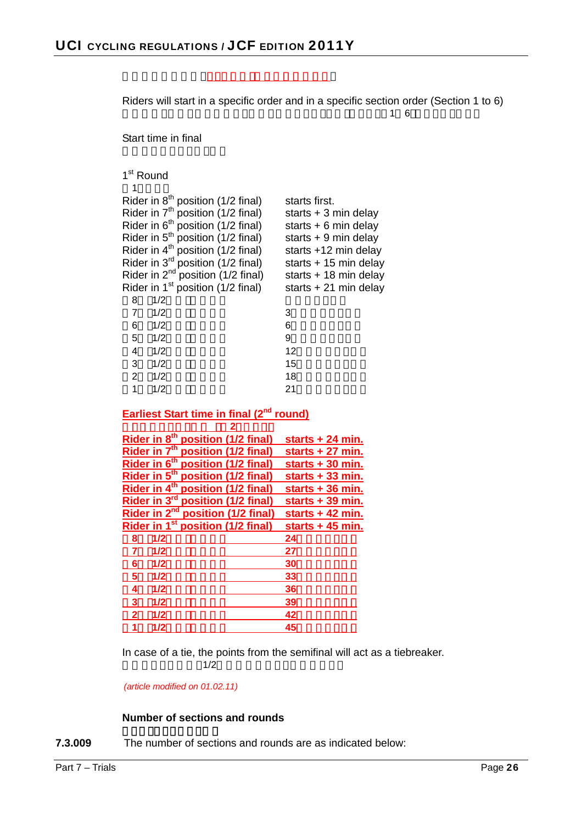|                                                                                                                                                                                                                                                                                                                                                                                                         | Riders will start in a specific order and in a specific section order (Section 1 to 6)<br>1.<br>6                                                                                                    |
|---------------------------------------------------------------------------------------------------------------------------------------------------------------------------------------------------------------------------------------------------------------------------------------------------------------------------------------------------------------------------------------------------------|------------------------------------------------------------------------------------------------------------------------------------------------------------------------------------------------------|
| Start time in final                                                                                                                                                                                                                                                                                                                                                                                     |                                                                                                                                                                                                      |
| 1 <sup>st</sup> Round<br>1                                                                                                                                                                                                                                                                                                                                                                              |                                                                                                                                                                                                      |
| Rider in $8th$ position (1/2 final)<br>Rider in 7 <sup>th</sup> position (1/2 final)<br>Rider in 6 <sup>th</sup> position (1/2 final)<br>Rider in 5 <sup>th</sup> position (1/2 final)<br>Rider in 4 <sup>th</sup> position (1/2 final)<br>Rider in $3^{rd}$ position (1/2 final)<br>Rider in $2^{nd}$ position (1/2 final)<br>Rider in $1st$ position (1/2 final)<br>1/2<br>8<br>$\overline{7}$<br>1/2 | starts first.<br>starts $+3$ min delay<br>starts $+ 6$ min delay<br>starts $+9$ min delay<br>starts +12 min delay<br>starts $+15$ min delay<br>starts $+18$ min delay<br>starts $+21$ min delay<br>3 |
| 1/2<br>6<br>1/2<br>5                                                                                                                                                                                                                                                                                                                                                                                    | 6<br>9                                                                                                                                                                                               |
| 1/2                                                                                                                                                                                                                                                                                                                                                                                                     | 12                                                                                                                                                                                                   |
| 4                                                                                                                                                                                                                                                                                                                                                                                                       |                                                                                                                                                                                                      |
| 3<br>1/2                                                                                                                                                                                                                                                                                                                                                                                                | 15                                                                                                                                                                                                   |
| $\overline{2}$<br>1/2                                                                                                                                                                                                                                                                                                                                                                                   | 18                                                                                                                                                                                                   |
| $\mathbf{1}$<br>1/2                                                                                                                                                                                                                                                                                                                                                                                     | 21                                                                                                                                                                                                   |
| <b>Earliest Start time in final (2<sup>nd</sup> round)</b>                                                                                                                                                                                                                                                                                                                                              |                                                                                                                                                                                                      |
| $\overline{2}$                                                                                                                                                                                                                                                                                                                                                                                          |                                                                                                                                                                                                      |
| Rider in 8 <sup>th</sup> position (1/2 final)                                                                                                                                                                                                                                                                                                                                                           | <u>starts + 24 min.</u>                                                                                                                                                                              |
| Rider in 7 <sup>th</sup> position (1/2 final)                                                                                                                                                                                                                                                                                                                                                           | <u>starts + 27 min.</u>                                                                                                                                                                              |
| Rider in 6 <sup>th</sup> position (1/2 final)                                                                                                                                                                                                                                                                                                                                                           | starts + 30 min.                                                                                                                                                                                     |
| Rider in 5 <sup>th</sup> position (1/2 final)                                                                                                                                                                                                                                                                                                                                                           | <u>starts + 33 min.</u>                                                                                                                                                                              |
| Rider in 4 <sup>th</sup> position (1/2 final)                                                                                                                                                                                                                                                                                                                                                           | starts + 36 min.                                                                                                                                                                                     |
| Rider in 3 <sup>rd</sup> position (1/2 final)                                                                                                                                                                                                                                                                                                                                                           | starts + 39 min.                                                                                                                                                                                     |
| Rider in 2 <sup>nd</sup> position (1/2 final)                                                                                                                                                                                                                                                                                                                                                           | starts + 42 min.                                                                                                                                                                                     |
| Rider in 1 <sup>st</sup> position (1/2 final)                                                                                                                                                                                                                                                                                                                                                           | starts $+45$ min.                                                                                                                                                                                    |
| 1/2<br>8                                                                                                                                                                                                                                                                                                                                                                                                | 24                                                                                                                                                                                                   |
| 1/2<br>7                                                                                                                                                                                                                                                                                                                                                                                                | 27                                                                                                                                                                                                   |
| 1/2<br>6                                                                                                                                                                                                                                                                                                                                                                                                | 30                                                                                                                                                                                                   |
| 5<br>1/2                                                                                                                                                                                                                                                                                                                                                                                                | 33                                                                                                                                                                                                   |
| 1/2<br>4                                                                                                                                                                                                                                                                                                                                                                                                | 36                                                                                                                                                                                                   |
| 3<br>1/2                                                                                                                                                                                                                                                                                                                                                                                                | 39                                                                                                                                                                                                   |
| $\overline{2}$<br>1/2                                                                                                                                                                                                                                                                                                                                                                                   | 42                                                                                                                                                                                                   |
| 1<br>1/2                                                                                                                                                                                                                                                                                                                                                                                                | 45                                                                                                                                                                                                   |
| 1/2                                                                                                                                                                                                                                                                                                                                                                                                     | In case of a tie, the points from the semifinal will act as a tiebreaker.                                                                                                                            |

*(article modified on 01.02.11)* 

#### **Number of sections and rounds**

**7.3.009** The number of sections and rounds are as indicated below: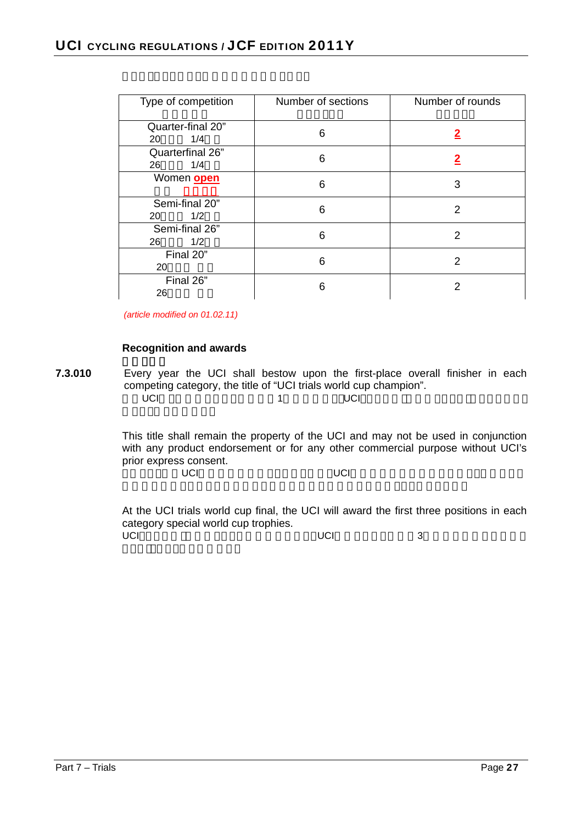| Type of competition            | Number of sections | Number of rounds |  |
|--------------------------------|--------------------|------------------|--|
| Quarter-final 20"<br>1/4<br>20 | 6                  | <u>2</u>         |  |
| Quarterfinal 26"<br>1/4<br>26  | 6                  |                  |  |
| Women open                     | 6                  | 3                |  |
| Semi-final 20"<br>1/2<br>20    | 6                  | 2                |  |
| Semi-final 26"<br>1/2<br>26    | 6                  | 2                |  |
| Final 20"<br>20                | 6                  | $\overline{2}$   |  |
| Final 26"<br>26                | 6                  |                  |  |

*(article modified on 01.02.11)* 

#### **Recognition and awards**

**7.3.010** Every year the UCI shall bestow upon the first-place overall finisher in each competing category, the title of "UCI trials world cup champion".  $\text{UCI}$ , The contract of the contract of the contract of the contract of the contract of the contract of the contract of the contract of the contract of the contract of the contract of the contract of the contract of the

> This title shall remain the property of the UCI and may not be used in conjunction with any product endorsement or for any other commercial purpose without UCI's prior express consent. このタイトルはUCIの独占的所有物としてあり続け,UCIの事前の同意表明のない限り,いかなる製

At the UCI trials world cup final, the UCI will award the first three positions in each category special world cup trophies. UCI スカテゴリの上位3 コンピュータのエネット UCI 3 コンピューター 3 コンピューター 3 コンピューター 3 コンピューター 3 コンピューター 3 コンピューター 3 コンピューター 3 コンピューター 3 コンピューター 3 コンピューター 3 コンピューター 3 コンピューター 3 コンピューター 2 コンピューター 3 コンピューター 3 コンピューター 3 コンピューター 3 コンピューター 3 コンピューター 3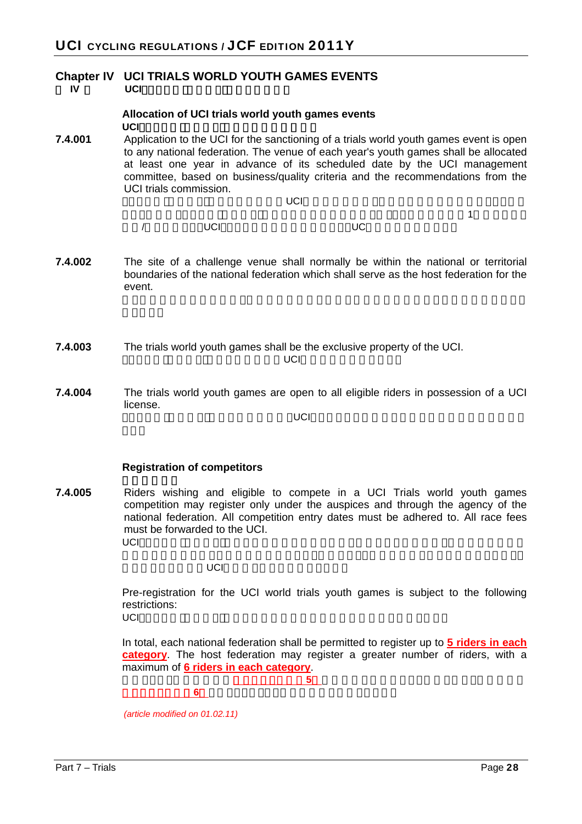#### **Chapter IV UCI TRIALS WORLD YOUTH GAMES EVENTS IV UCI**トライアル・コントライアル・コントライアル・コント

#### **Allocation of UCI trials world youth games events UCI**トライアル・コールド・ユース

**7.4.001** Application to the UCI for the sanctioning of a trials world youth games event is open to any national federation. The venue of each year's youth games shall be allocated at least one year in advance of its scheduled date by the UCI management committee, based on business/quality criteria and the recommendations from the UCI trials commission.

トライアル・コールド・ユース<br>トライアル・コールド・ユース<br>1980年 - コールド・コールド・ユース

 $\mathbf{A}$ 

事業/質を基準とし,UCIトライアル委員会の推薦により,UCい理事会が割当てる.

- **7.4.002** The site of a challenge venue shall normally be within the national or territorial boundaries of the national federation which shall serve as the host federation for the event.
- **7.4.003** The trials world youth games shall be the exclusive property of the UCI.  $\mathsf{UCI}$

**7.4.004** The trials world youth games are open to all eligible riders in possession of a UCI license.

 $\mathsf{UCI}=\mathsf{UCI}$ 

#### **Registration of competitors**

**7.4.005** Riders wishing and eligible to compete in a UCI Trials world youth games competition may register only under the auspices and through the agency of the national federation. All competition entry dates must be adhered to. All race fees must be forwarded to the UCI.  $\overline{\mathsf{UCI}}$ トライアル・コールド・ユース (この後に参加を)取り与える

ていています。<br>レース料金は<sub>ははなる</sub>

Pre-registration for the UCI world trials youth games is subject to the following restrictions: UCIトライアル・コールド・ユース<sub>の場</sub>

In total, each national federation shall be permitted to register up to **5 riders in each category**. The host federation may register a greater number of riders, with a maximum of **6 riders in each category**.

総計として,各国内連盟は各カテゴリに最多**5**名の競技者を登録することが許される.主催連盟は

各カテゴリに最多**6**名を限りとして,より多い競技者を登録してよい.

*(article modified on 01.02.11)*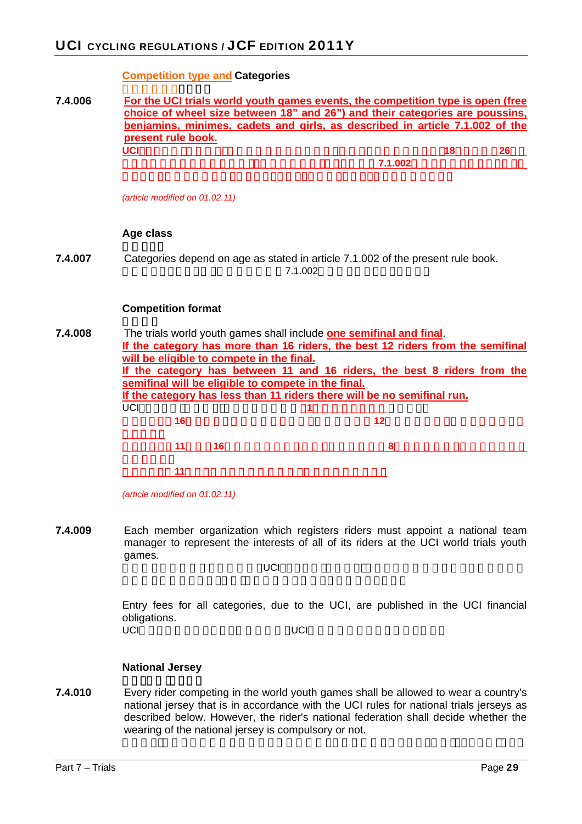#### **Competition type and Categories**

**7.4.006 For the UCI trials world youth games events, the competition type is open (free choice of wheel size between 18" and 26") and their categories are poussins, benjamins, minimes, cadets and girls, as described in article 7.1.002 of the present rule book. UCI**トライズはオープンにはオープンで(18インチから26インチから26インチから26インチから26インチから26インチから26インチから26インチから26インチから26インチから26インチから26インチから26インチから26インチから26インチから26インチから26インチから26インチから26インチから26インチから26インチから26インチから26インチから26インチから26インチから26インチから26インチから26インチから チ間での車輪径の自由な選択),現在のルール・ブックの条項**7.1.002**の中で説明されるように,そ

*(article modified on 01.02.11)* 

#### **Age class**

**7.4.007** Categories depend on age as stated in article 7.1.002 of the present rule book.  $7.1.002$ 

#### **Competition format**

| 7.4.008 | The trials world youth games shall include one semifinal and final.      |                                                                                |  |  |  |  |
|---------|--------------------------------------------------------------------------|--------------------------------------------------------------------------------|--|--|--|--|
|         |                                                                          | If the category has more than 16 riders, the best 12 riders from the semifinal |  |  |  |  |
|         |                                                                          | will be eligible to compete in the final.                                      |  |  |  |  |
|         | If the category has between 11 and 16 riders, the best 8 riders from the |                                                                                |  |  |  |  |
|         |                                                                          | semifinal will be eligible to compete in the final.                            |  |  |  |  |
|         |                                                                          | If the category has less than 11 riders there will be no semifinal run.        |  |  |  |  |
|         | UCI                                                                      |                                                                                |  |  |  |  |
|         | 16                                                                       |                                                                                |  |  |  |  |
|         |                                                                          |                                                                                |  |  |  |  |
|         |                                                                          | 16                                                                             |  |  |  |  |
|         |                                                                          |                                                                                |  |  |  |  |
|         |                                                                          |                                                                                |  |  |  |  |
|         |                                                                          |                                                                                |  |  |  |  |

*(article modified on 01.02.11)* 

**7.4.009** Each member organization which registers riders must appoint a national team manager to represent the interests of all of its riders at the UCI world trials youth games.

 $\cup$ CIトライアル・コールド・ユース

Entry fees for all categories, due to the UCI, are published in the UCI financial obligations. UCI<del>CIC</del>I

#### **National Jersey**

**7.4.010** Every rider competing in the world youth games shall be allowed to wear a country's national jersey that is in accordance with the UCI rules for national trials jerseys as described below. However, the rider's national federation shall decide whether the wearing of the national jersey is compulsory or not.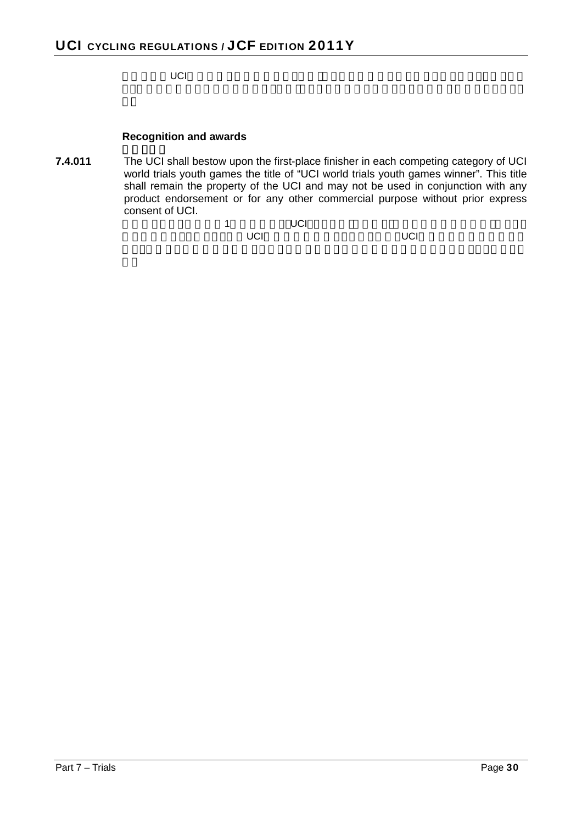ジのためのUCI規則に従った自国のナショナル・ジャージの着用を許されるものとする.しかしなが

#### **Recognition and awards**

**7.4.011** The UCI shall bestow upon the first-place finisher in each competing category of UCI world trials youth games the title of "UCI world trials youth games winner". This title shall remain the property of the UCI and may not be used in conjunction with any product endorsement or for any other commercial purpose without prior express consent of UCI.

| 1 |            | UCI |     |
|---|------------|-----|-----|
|   | <b>UCI</b> |     | UCI |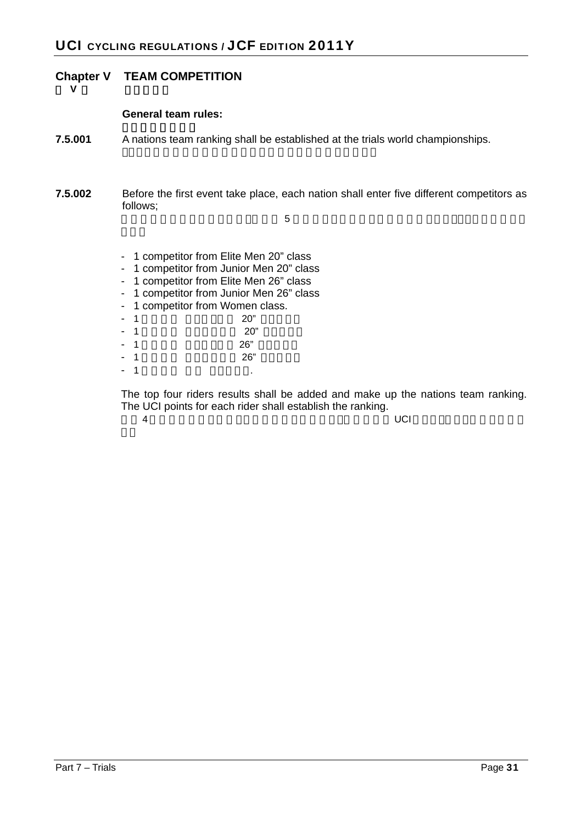# **Chapter V TEAM COMPETITION**

第 **V** 章 チーム競技

#### **General team rules:**

- **7.5.001** A nations team ranking shall be established at the trials world championships.
- **7.5.002** Before the first event take place, each nation shall enter five different competitors as follows;

 $\frac{1}{5}$ 

- 1 competitor from Elite Men 20" class
- 1 competitor from Junior Men 20" class
- 1 competitor from Elite Men 26" class
- 1 competitor from Junior Men 26" class
- 1 competitor from Women class.
- $1$  20"
- $1$  20"
- $1$  26"
- $1$  26"
- $1$

The top four riders results shall be added and make up the nations team ranking. The UCI points for each rider shall establish the ranking.

 $\overline{4}$  and  $\overline{4}$  and  $\overline{4}$  and  $\overline{4}$  and  $\overline{4}$  and  $\overline{4}$  and  $\overline{4}$  and  $\overline{4}$  and  $\overline{4}$  and  $\overline{4}$  and  $\overline{4}$  and  $\overline{4}$  and  $\overline{4}$  and  $\overline{4}$  and  $\overline{4}$  and  $\overline{4}$  and  $\overline{4}$  and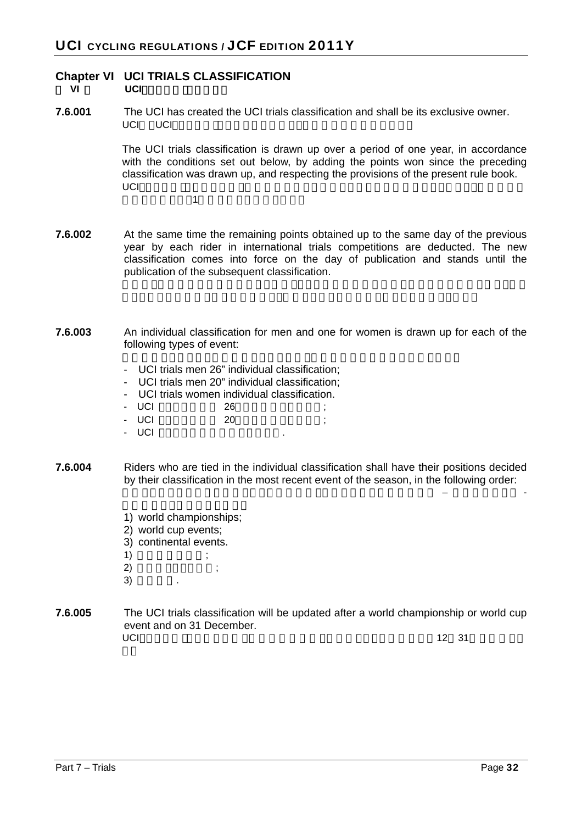# **Chapter VI UCI TRIALS CLASSIFICATION**

**VI UCI** 

**7.6.001** The UCI has created the UCI trials classification and shall be its exclusive owner. UCI UCI

> The UCI trials classification is drawn up over a period of one year, in accordance with the conditions set out below, by adding the points won since the preceding classification was drawn up, and respecting the provisions of the present rule book.  $\cup$ CI $\cup$

 $\overline{1}$ 

- **7.6.002** At the same time the remaining points obtained up to the same day of the previous year by each rider in international trials competitions are deducted. The new classification comes into force on the day of publication and stands until the publication of the subsequent classification.
- **7.6.003** An individual classification for men and one for women is drawn up for each of the following types of event:
	- UCI trials men 26" individual classification;
	- UCI trials men 20" individual classification;
	- UCI trials women individual classification.
	- UCI 26
	- UCI 20 ;
	- UCI
- **7.6.004** Riders who are tied in the individual classification shall have their positions decided by their classification in the most recent event of the season, in the following order:

個人ランキングにおいて同点となった競技者は,そのシーズンの直近の大会 – 下記順番による -

- 1) world championships;
- 2) world cup events;
- 3) continental events.
- $1)$  ;
- $(2)$  ;
- $3)$
- **7.6.005** The UCI trials classification will be updated after a world championship or world cup event and on 31 December. UCI $\,$